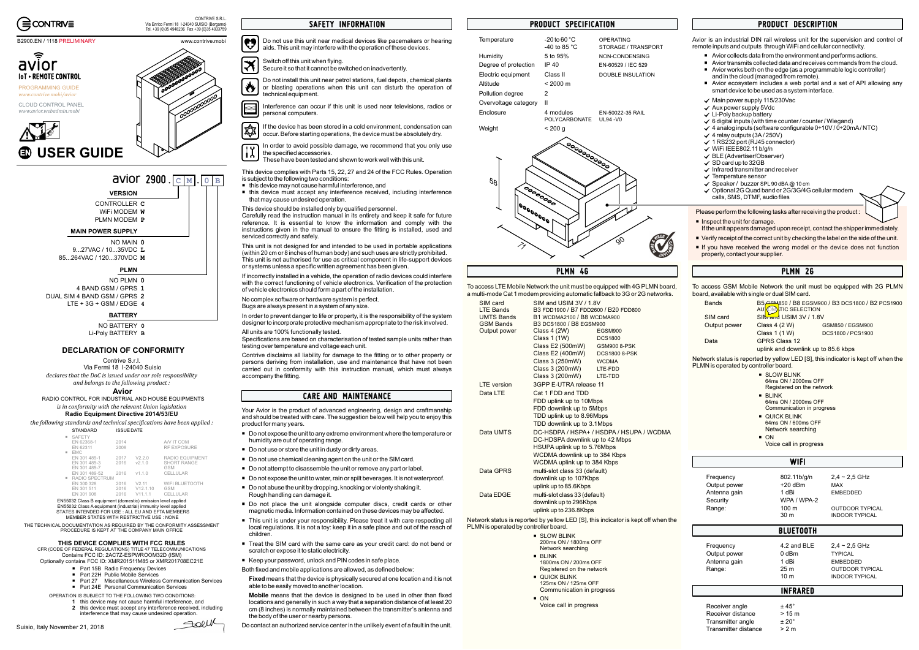

### B2900.EN / 1118 PRELIMINARY

This device complies with Parts 15, 22, 27 and 24 of the FCC Rules. Operation is subject to the following two conditions:

- $\quad \blacksquare \;$  this device may not cause harmful interference, and
- this device must accept any interference received, including interference that may cause undesired operation.

This device should be installed only by qualified personnel.

Carefully read the instruction manual in its entirety and keep it safe for future reference. It is essential to know the information and comply with the instructions given in the manual to ensure the fitting is installed, used and serviced correctly and safely.

This unit is not designed for and intended to be used in portable applications (within 20 cm or 8 inches of human body) and such uses are strictly prohibited. This unit is not authorised for use as critical component in life-support devices or systems unless <sup>a</sup> specific written agreement has been given.

 $|\mathbf{e}$ Do not use this unit near medical devices like pacemakers or hearing aids. This unit may interfere with the operation of these devices.

If incorrectly installed in <sup>a</sup> vehicle, the operation of radio devices could interfere with the correct functioning of vehicle electronics. Verification of the protection of vehicle electronics should form <sup>a</sup> part of the installation.

[≭ Secure it so that it cannot be switched on inadvertently.

No complex software or hardware system is perfect. Bugs are always present in <sup>a</sup> system of any size.

ES If the device has been stored in <sup>a</sup> cold environment, condensation can occur. Before starting operations, the device must be absolutely dry.

1Y In order to avoid possible damage, we recommend that you only use the specified accessories.

In order to prevent danger to life or property, it is the responsibility of the system designer to incorporate protective mechanism appropriate to the risk involved.

All units are 100% functionally tested.

Specifications are based on characterisation of tested sample units rather than testing over temperature and voltage each unit.

Contrive disclaims all liability for damage to the fitting or to other property or persons deriving from installation, use and maintenance that have not been carried out in conformity with this instruction manual, which must always accompany the fitting.

Switch off this unit when flying.

Do not install this unit near petrol stations, fuel depots, chemical plants ₩ or blasting operations when this unit can disturb the operation of technical equipment.

**Fixed** means that the device is physically secured at one location and it is not able to be easily moved to another location.

Interference can occur if this unit is used near televisions, radios or personal computers.

**Mobile** means that the device is designed to be used in other than fixed locations and generally in such <sup>a</sup> way that <sup>a</sup> separation distance of at least 20 cm (8 inches) is normally maintained between the transmitter's antenna and the body of the user or nearby persons.

- $\quad \blacksquare \;$  Do not expose the unit to any extreme environment where the temperature or humidity are out of operating range.
- Do not use or store the unit in dusty or dirty areas.
- Do not use chemical cleaning agent on the unit or the SIM card.
- $\quad \blacksquare \;$  Do not attempt to disassemble the unit or remove any part or label.
- Do not expose the unit to water, rain or spilt beverages. It is not waterproof.
- Do not abuse the unit by dropping, knocking or violenty shaking it. Rough handling can damage it.
- Do not place the unit alongside computer discs, credit cards or other magnetic media. Information contained on these devices may be affected.
- $\;\blacksquare\;$  This unit is under your responsibility. Please treat it with care respecting all local regulations. It is not <sup>a</sup> toy: keep it in <sup>a</sup> safe place and out of the reach of children.
- Treat the SIM card with the same care as your credit card: do not bend or scratch or expose it to static electricity.
- Keep your password, unlock and PIN codes in safe place.

These have been tested and shown to work well with this unit.

Via Enrico Fermi 18 I-24040 SUISIO (Bergamo) Tel. +39 (0)35 4948236 Fax +39 (0)35 4933759

PROGRAMMING GUIDE*www.contrive.mobi/avior*

CLOUD CONTROL PANEL

*www.avior.webadmin.mobi*

www.contrive.mobi



### **MAIN POWER SUPPLY**

# **PLMN**

## **BATTERY**

CONTROLLER**C**WiFi MODEM**W**



CONTRIVE S.R.L.

NO MAIN**0**85...264VAC / 120...370VDC **M** 9...27VAC / 10...35VDC**L**

> NO BATTERY**0**Li-Poly BATTERY **B**

PLMN MODEM**P**

NO PLMN**0**4 BAND GSM / GPRS**1** DUAL SIM 4 BAND GSM / GPRS LTE <sup>+</sup> 3G <sup>+</sup> GSM / EDGE**42**

> Your Avior is the product of advanced engineering, design and craftmanship and should be treated with care. The suggestion below will help you to enjoy this product for many years.

To access LTE Mobile Network the unit must be equipped with 4G PLMN board, a multi-mode Cat 1 modem providing automatic fallback to 3G or 2G networks.

Both fixed and mobile applications are allowed, as defined below:

Contrive S.r.l. Via Fermi 18 I-24040 Suisio*declares that the DoC is issued under our sole responsibility and belongs to the following product :*

Do contact an authorized service center in the unlikely event of <sup>a</sup> fault in the unit.

- 1 this device may not cause harmful interference, and
- this device must accept any interference received, including **2** interference that may cause undesired operation.

Soll

EN55032 Class A equipment (industrial) immunity level applied<br>STATES INTENDED FOR USE : ALL EU AND EFTA MEMBERS MEMBER STATES WITH RESTRICTIVE USE : NONE EN55032 Class B equipment (domestic) emission level applied

Avior is an industrial DIN rail wireless unit for the supervision and control of remote inputs and outputs through WiFi and cellular connectivity.

- Avior collects data from the environment and performs actions.
- Avior transmits collected data and receives commands from the cloud.  $\overline{\phantom{a}}$
- Avior works both on the edge (as <sup>a</sup> programmable logic controller) and in the cloud (managed from remote).
- Avior ecosystem includes a web portal and a set of API allowing any smart device to be used as <sup>a</sup> system interface.
- $\checkmark$  Main power supply 115/230Vac
- $\checkmark$  Aux power supply 5Vdc
- $\checkmark$  Li-Poly backup battery
- $\checkmark$  6 digital inputs (with time counter / counter / Wiegand)
- $\checkmark$  4 analog inputs (software configurable 0÷10V / 0÷20mA / NTC)
- $\checkmark$  4 relay outputs (3A / 250V)
- 1 RS232 port (RJ45 connector) .  $\checkmark$  WiFi IEEE802.11 b/g/n
- BLE (Advertiser/Observer) .
- $\checkmark$  SD card up to 32GB
- $\checkmark$  Infrared transmitter and receiver
- $\checkmark$  Temperature sensor
- $\checkmark$  Speaker / buzzer SPL 90 dBA @ 10 cm
- $\checkmark$  Optional 2G Quad band or 2G/3G/4G cellular modem calls, SMS, DTMF, audio files

Please perform the following tasks after receiving the product

- $\blacksquare$  Inspect the unit for damage. If the unit appears damaged upon receipt, contact the shipper immediately.
- Verify receipt of the correct unit by checking the label on the side of the unit.
- If you have received the wrong model or the device does not function properly, contact your supplier







Network status is reported by yellow LED [S], this indicator is kept off when the PLMN is operated by controller board.

| SIM card<br><b>LTE Bands</b><br><b>UMTS Bands</b><br><b>GSM Bands</b> | SIM and USIM 3V / 1.8V<br>B3 FDD1900 / B7 FDD2600 / B20 FDD800<br>B1 WCDMA2100 / B8 WCDMA900<br>B3 DCS1800 / B8 EGSM900 |                      |  |
|-----------------------------------------------------------------------|-------------------------------------------------------------------------------------------------------------------------|----------------------|--|
| Output power                                                          | Class 4 (2W)                                                                                                            | EGSM900              |  |
|                                                                       | Class 1 (1W)                                                                                                            | <b>DCS1800</b>       |  |
|                                                                       | Class E2 (500mW)                                                                                                        | GSM900 8-PSK         |  |
|                                                                       | Class E2 (400mW)                                                                                                        | <b>DCS1800 8-PSK</b> |  |
|                                                                       | Class 3 (250mW)                                                                                                         | <b>WCDMA</b>         |  |
|                                                                       | Class 3 (200mW) LTE-FDD                                                                                                 |                      |  |
|                                                                       | Class 3 (200mW) LTE-TDD                                                                                                 |                      |  |
| I TF version                                                          | 3GPP E-UTRA release 11                                                                                                  |                      |  |
| Data I TF                                                             | Cat 1 FDD and TDD<br>FDD uplink up to 10Mbps<br>FDD downlink up to 5Mbps                                                |                      |  |
|                                                                       |                                                                                                                         |                      |  |
|                                                                       |                                                                                                                         |                      |  |
|                                                                       | TDD uplink up to 8.96Mbps                                                                                               |                      |  |
|                                                                       | TDD downlink up to 3.1Mbps                                                                                              |                      |  |
| Data UMTS                                                             | DC-HSDPA / HSPA+ / HSDPA / HSUPA / WCDMA<br>DC-HDSPA downlink up to 42 Mbps                                             |                      |  |
|                                                                       |                                                                                                                         |                      |  |
|                                                                       | HSUPA uplink up to 5.76Mbps<br>WCDMA downlink up to 384 Kbps                                                            |                      |  |
|                                                                       |                                                                                                                         |                      |  |
|                                                                       | WCDMA uplink up to 384 Kbps                                                                                             |                      |  |
| Data GPRS                                                             | multi-slot class 33 (default)<br>downlink up to 107Kbps                                                                 |                      |  |
|                                                                       |                                                                                                                         |                      |  |
|                                                                       | uplink up to 85.6Kbps                                                                                                   |                      |  |
| Data EDGE                                                             | multi-slot class 33 (default)<br>downlink up to 296Kbps                                                                 |                      |  |
|                                                                       |                                                                                                                         |                      |  |
|                                                                       | uplink up to 236.8Kbps                                                                                                  |                      |  |
|                                                                       |                                                                                                                         |                      |  |

- 200ms ON / 1800ms OFF ■ SLOW BLINK Network searching BLINK
- 1800ms ON / 200ms OFF Registered on the network
- Communication in progress ■ QUICK BLINK<br>125ms ON / 125ms OFF
- Voice call in progress ON
- 

# **SAFETY INFORMATION**

| N 46                                                                                                                                                                                                                                                                                                     | <b>PLMN 26</b>                                                                            |                                                                                                                                                                                                                                                                                                                                  |                                                                                                                                                                                       |
|----------------------------------------------------------------------------------------------------------------------------------------------------------------------------------------------------------------------------------------------------------------------------------------------------------|-------------------------------------------------------------------------------------------|----------------------------------------------------------------------------------------------------------------------------------------------------------------------------------------------------------------------------------------------------------------------------------------------------------------------------------|---------------------------------------------------------------------------------------------------------------------------------------------------------------------------------------|
| must be equipped with 4G PLMN board,<br>utomatic fallback to 3G or 2G networks.                                                                                                                                                                                                                          | board, available with single or dual SIM card.                                            |                                                                                                                                                                                                                                                                                                                                  | To access GSM Mobile Network the unit must be equipped with 2G PLMN                                                                                                                   |
| 0 3V / 1.8V<br>B7 FDD2600 / B20 FDD800<br>00 / B8 WCDMA900<br>B8 EGSM900<br>EGSM900<br><b>DCS1800</b><br>)mW)<br><b>GSM900 8-PSK</b><br>)mW)<br><b>DCS1800 8-PSK</b><br>nW)<br><b>WCDMA</b><br>nW)<br>LTE-FDD<br>nW)<br>LTE-TDD<br>A release 11<br>ıd TDD<br>o to 10Mbps<br>up to 5Mbps<br>o to 8.96Mbps | <b>Bands</b><br>SIM card<br>Output power<br>Data<br>PLMN is operated by controller board. | <b>TOMATIC SELECTION</b><br>$\frac{1}{20}$ M and USIM 3V / 1.8V<br>Class 4 (2 W)<br>Class 1 (1 W)<br><b>GPRS Class 12</b><br>uplink and downlink up to 85.6 kbps<br>■ SLOW BLINK<br>64ms ON / 2000ms OFF<br>Registered on the network<br><b>BLINK</b><br>64ms ON / 2000ms OFF<br>Communication in progress<br><b>QUICK BLINK</b> | <b>P5</b> GSM850 / B8 EGSM900 / B3 DCS1800 / B2 PCS1900<br>GSM850 / EGSM900<br>DCS1800 / PCS1900<br>Network status is reported by yellow LED [S], this indicator is kept off when the |
| up to 3.1Mbps<br>HSPA+ / HSDPA / HSUPA / WCDMA<br>ownlink up to 42 Mbps<br>up to 5.76Mbps                                                                                                                                                                                                                | 64ms ON / 600ms OFF<br>Network searching<br>$\blacksquare$ ON<br>Voice call in progress   |                                                                                                                                                                                                                                                                                                                                  |                                                                                                                                                                                       |
| nlink up to 384 Kbps<br>hk up to 384 Kbps                                                                                                                                                                                                                                                                | <b>WIFI</b>                                                                               |                                                                                                                                                                                                                                                                                                                                  |                                                                                                                                                                                       |
| s 33 (default)<br>o 107Kbps<br>.6Kbps<br>s 33 (default)<br>296Kbps<br>36.8Kbps<br>ED [S], this indicator is kept off when the                                                                                                                                                                            | Frequency<br>Output power<br>Antenna gain<br>Security<br>Range:                           | 802.11b/g/n<br>$+20$ dBm<br>1 dBi<br>WPA / WPA-2<br>100 <sub>m</sub><br>30 <sub>m</sub>                                                                                                                                                                                                                                          | $2.4 \sim 2.5$ GHz<br><b>MAX</b><br><b>EMBEDDED</b><br><b>OUTDOOR TYPICAL</b><br><b>INDOOR TYPICAL</b>                                                                                |
|                                                                                                                                                                                                                                                                                                          |                                                                                           | <b>BLUETOOTH</b>                                                                                                                                                                                                                                                                                                                 |                                                                                                                                                                                       |
| ΙK<br>1800ms OFF<br>arching                                                                                                                                                                                                                                                                              | Frequency<br>Output power                                                                 | 4.2 and BLE<br>$0$ dBm                                                                                                                                                                                                                                                                                                           | $2,4 \sim 2,5$ GHz<br><b>TYPICAL</b>                                                                                                                                                  |
| /200ms OFF<br>on the network<br>١K<br>$125me$ OEE                                                                                                                                                                                                                                                        | Antenna gain<br>Range:                                                                    | 1 dBi<br>25 <sub>m</sub><br>10 <sub>m</sub>                                                                                                                                                                                                                                                                                      | <b>EMBEDDED</b><br><b>OUTDOOR TYPICAL</b><br><b>INDOOR TYPICAL</b>                                                                                                                    |

# **PRODUCT DESCRIPTION**

# **INFRARED**

Receiver angle  $\qquad \qquad \pm 45^{\circ}$ Receiver distance <sup>&</sup>gt; 15 mTransmitter angle Transmitter distance  $> 2 m$ 

 $± 20^\circ$ 

**PLMN 4G**

# **CARE AND MAINTENANCE**

## **DECLARATION OF CONFORMITY**

*is in conformity with the relevant Union legislation* RADIO CONTROL FOR INDUSTRIAL AND HOUSE EQUIPMENTS

# **Avior**

*the following standards and technical specifications have been applied :* STANDARD ISSUE DATE

THE TECHNICAL DOCUMENTATION AS REQUIRED BY THE CONFORMITY ASSESSMENTPROCEDURE IS KEPT AT THE COMPANY MAIN OFFICE

OPERATION IS SUBJECT TO THE FOLLOWING TWO CONDITIONS:

### **THIS DEVICE COMPLIES WITH FCC RULES**

### **Radio Equipment Directive 2014/53/EU**

CFR (CODE OF FEDERAL REGULATIONS) TITLE 47 TELECOMMUNICATIONS Contains FCC ID: 2AC7Z-ESPWROOM32D (ISM) Optionally contains FCC ID: XMR201511M85 or XMR201708EC21E

- Part 15B Radio Frequency Devices
- Part 22H Public Mobile Services
- Part 27 Miscellaneous Wireless Communication Services
- Part 24E Personal Communication Services

| <b>SAFFTY</b><br>EN 62368-1 | 2014 |                    | A/V IT COM             |
|-----------------------------|------|--------------------|------------------------|
| EN 62311                    | 2008 |                    | <b>RF EXPOSURE</b>     |
| FMC                         |      |                    |                        |
| EN 301 489-1                | 2017 | V2.2.0             | <b>RADIO EQUIPMENT</b> |
| EN 301 489-3                | 2016 | v2.1.0             | <b>SHORT RANGE</b>     |
| EN 301 489-7                |      |                    | <b>GSM</b>             |
| EN 301 489-52               | 2016 | v1.1.0             | CELLULAR               |
| ■ RADIO SPECTRUM            |      |                    |                        |
| EN 300 328                  | 2016 | V2.11              | <b>WIFI BLUETOOTH</b>  |
| EN 301 511                  | 2016 | V12.1.10           | <b>GSM</b>             |
| EN 301 908                  | 2016 | V <sub>11</sub> 11 | CELLULAR               |
|                             |      |                    |                        |